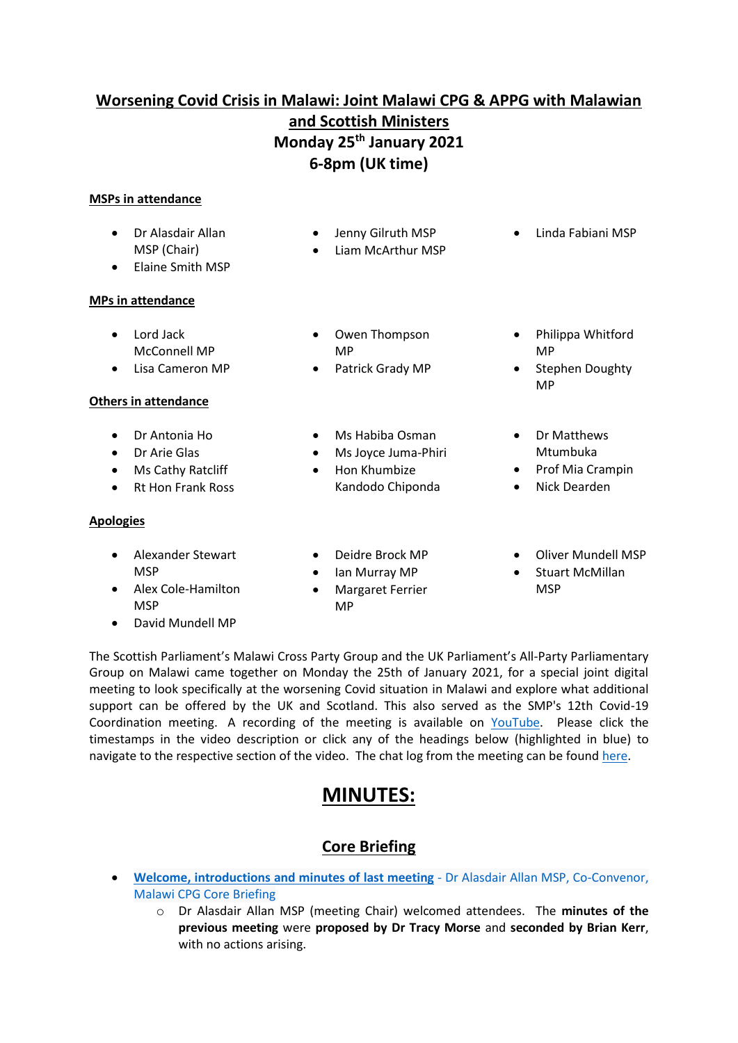# **Worsening Covid Crisis in Malawi: Joint Malawi CPG & APPG with Malawian and Scottish Ministers**

# **Monday 25th January 2021 6-8pm (UK time)**

• Jenny Gilruth MSP • Liam McArthur MSP

## **MSPs in attendance**

- Dr Alasdair Allan MSP (Chair)
- Elaine Smith MSP

#### **MPs in attendance**

- Lord Jack McConnell MP
- Lisa Cameron MP

### **Others in attendance**

- Dr Antonia Ho
- Dr Arie Glas
- Ms Cathy Ratcliff
- Rt Hon Frank Ross

#### **Apologies**

- Alexander Stewart **MSP**
- Alex Cole-Hamilton MSP
- David Mundell MP
- Owen Thompson MP
- Patrick Grady MP
- Ms Habiba Osman
- Ms Joyce Juma-Phiri
- Hon Khumbize Kandodo Chiponda
- Deidre Brock MP
- Ian Murray MP
- Margaret Ferrier MP

Stephen Doughty MP

• Philippa Whitford

• Linda Fabiani MSP

• Dr Matthews Mtumbuka

MP

- Prof Mia Crampin
- Nick Dearden
- Oliver Mundell MSP
- Stuart McMillan **MSP**

The Scottish Parliament's Malawi Cross Party Group and the UK Parliament's All-Party Parliamentary Group on Malawi came together on Monday the 25th of January 2021, for a special joint digital meeting to look specifically at the worsening Covid situation in Malawi and explore what additional support can be offered by the UK and Scotland. This also served as the SMP's 12th Covid-19 Coordination meeting. A recording of the meeting is available on [YouTube.](https://youtu.be/Qe-eZlcIp14) Please click the timestamps in the video description or click any of the headings below (highlighted in blue) to navigate to the respective section of the video. The chat log from the meeting can be foun[d here.](https://www.scotland-malawipartnership.org/files/9416/1191/9954/Joint_Malawi_CPG__APPG_Chat_Log.pdf)

# **MINUTES:**

# **Core Briefing**

- **Welcome, [introductions](https://www.youtube.com/watch?v=Qe-eZlcIp14&t=0s) and minutes of last meeting** Dr Alasdair Allan MSP, Co-Convenor, Malawi CPG Core [Briefing](https://www.youtube.com/watch?v=Qe-eZlcIp14&t=0s)
	- o Dr Alasdair Allan MSP (meeting Chair) welcomed attendees. The **minutes of the previous meeting** were **proposed by Dr Tracy Morse** and **seconded by Brian Kerr**, with no actions arising.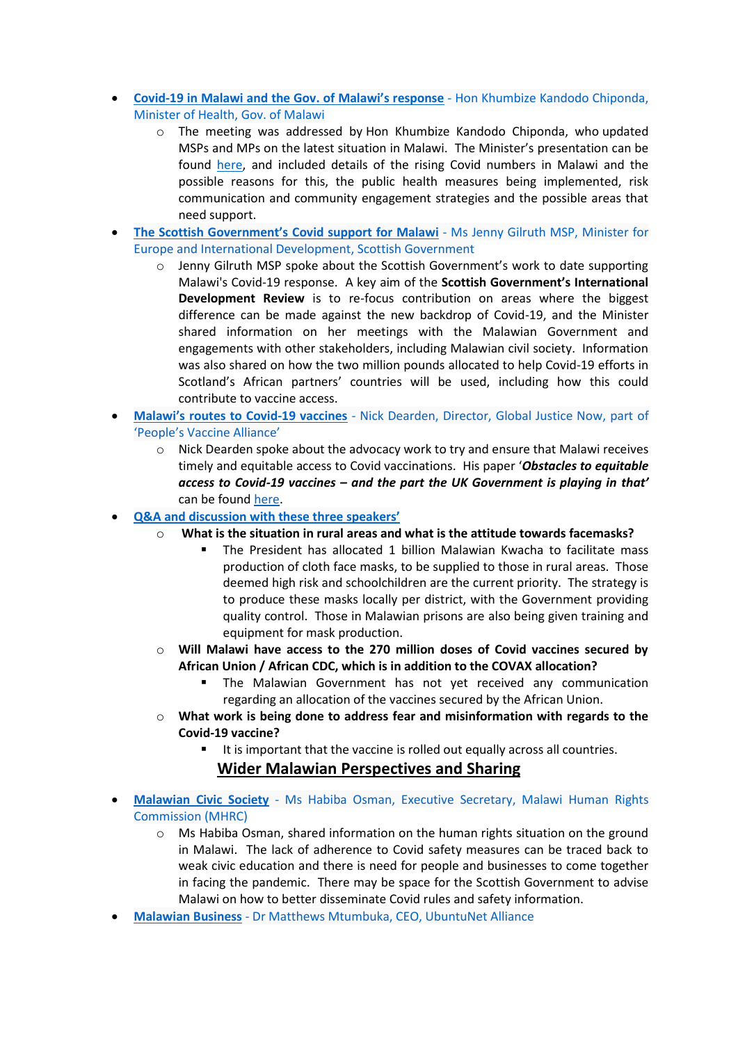- **Covid-19 in Malawi and the Gov. of Malawi's response** Hon Khumbize Kandodo [Chiponda,](https://www.youtube.com/watch?v=Qe-eZlcIp14&t=383s) [Minister](https://www.youtube.com/watch?v=Qe-eZlcIp14&t=383s) of Health, Gov. of Malawi
	- o The meeting was addressed by Hon Khumbize Kandodo Chiponda, who updated MSPs and MPs on the latest situation in Malawi. The Minister's presentation can be found [here,](https://www.scotland-malawipartnership.org/files/1016/1160/0380/COVID-19_Pandemic___Malawi_Update_250121.pdf) and included details of the rising Covid numbers in Malawi and the possible reasons for this, the public health measures being implemented, risk communication and community engagement strategies and the possible areas that need support.
- **The Scottish [Government's](https://www.youtube.com/watch?v=Qe-eZlcIp14&t=1696s) Covid support for Malawi** Ms Jenny Gilruth MSP, Minister for Europe and International [Development,](https://www.youtube.com/watch?v=Qe-eZlcIp14&t=1696s) Scottish Government
	- $\circ$  Jenny Gilruth MSP spoke about the Scottish Government's work to date supporting Malawi's Covid-19 response. A key aim of the **Scottish Government's International Development Review** is to re-focus contribution on areas where the biggest difference can be made against the new backdrop of Covid-19, and the Minister shared information on her meetings with the Malawian Government and engagements with other stakeholders, including Malawian civil society. Information was also shared on how the two million pounds allocated to help Covid-19 efforts in Scotland's African partners' countries will be used, including how this could contribute to vaccine access.
- **[Malawi's](https://www.youtube.com/watch?v=Qe-eZlcIp14&t=2202s) routes to Covid-19 vaccines** Nick Dearden, Director, Global Justice Now, part of ['People's](https://www.youtube.com/watch?v=Qe-eZlcIp14&t=2202s) Vaccine Alliance'
	- $\circ$  Nick Dearden spoke about the advocacy work to try and ensure that Malawi receives timely and equitable access to Covid vaccinations. His paper '*Obstacles to equitable access to Covid-19 vaccines – and the part the UK Government is playing in that'* can be found [here.](https://www.scotland-malawipartnership.org/files/9916/1159/6369/BRIEFING_Obstacles_to_equitable_access_to_Covid_vaccines.pdf)
- **Q&A and [discussion](https://www.youtube.com/watch?v=Qe-eZlcIp14&t=2696s) with these three speakers'**
	- o **[What is the situation in rural areas and what is the attitude towards facemasks?](https://youtu.be/Qe-eZlcIp14?t=2729)**
		- The President has allocated 1 billion Malawian Kwacha to facilitate mass production of cloth face masks, to be supplied to those in rural areas. Those deemed high risk and schoolchildren are the current priority. The strategy is to produce these masks locally per district, with the Government providing quality control. Those in Malawian prisons are also being given training and equipment for mask production.
	- o **[Will Malawi have access to the 270 million doses of Covid vaccines secured by](https://youtu.be/Qe-eZlcIp14?t=2890)  African Union / [African CDC, which is in addition to the COVAX allocation?](https://youtu.be/Qe-eZlcIp14?t=2890)**
		- **E** The Malawian Government has not yet received any communication regarding an allocation of the vaccines secured by the African Union.
	- o **[What work is being done to address fear and misinformation with regards to the](https://youtu.be/Qe-eZlcIp14?t=3004)  [Covid-19 vaccine?](https://youtu.be/Qe-eZlcIp14?t=3004)**
		- It is important that the vaccine is rolled out equally across all countries.

## **Wider Malawian Perspectives and Sharing**

- **[Malawian](https://www.youtube.com/watch?v=Qe-eZlcIp14&t=3153s) Civic Society** Ms Habiba Osman, Executive Secretary, Malawi Human Rights [Commission](https://www.youtube.com/watch?v=Qe-eZlcIp14&t=3153s) (MHRC)
	- $\circ$  Ms Habiba Osman, shared information on the human rights situation on the ground in Malawi. The lack of adherence to Covid safety measures can be traced back to weak civic education and there is need for people and businesses to come together in facing the pandemic. There may be space for the Scottish Government to advise Malawi on how to better disseminate Covid rules and safety information.
- **Malawian Business** Dr Matthews [Mtumbuka,](https://www.youtube.com/watch?v=Qe-eZlcIp14&t=3501s) CEO, UbuntuNet Alliance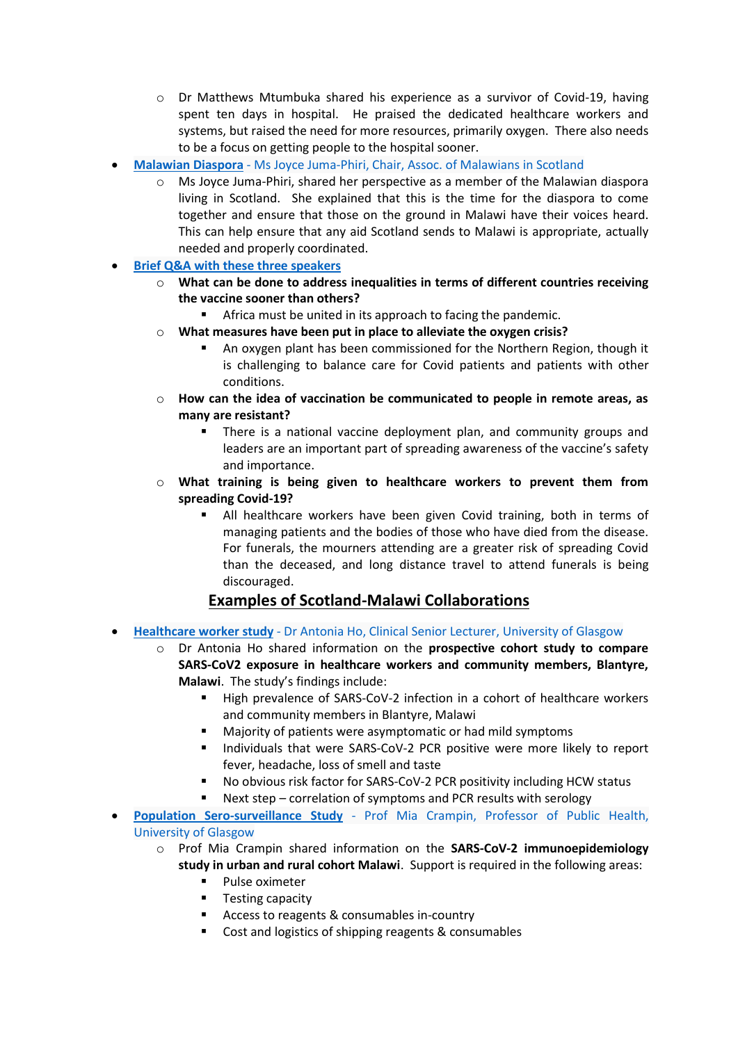- o Dr Matthews Mtumbuka shared his experience as a survivor of Covid-19, having spent ten days in hospital. He praised the dedicated healthcare workers and systems, but raised the need for more resources, primarily oxygen. There also needs to be a focus on getting people to the hospital sooner.
- **Malawian Diaspora** Ms Joyce [Juma-Phiri,](https://www.youtube.com/watch?v=Qe-eZlcIp14&t=3833s) Chair, Assoc. of Malawians in Scotland
	- $\circ$  Ms Joyce Juma-Phiri, shared her perspective as a member of the Malawian diaspora living in Scotland. She explained that this is the time for the diaspora to come together and ensure that those on the ground in Malawi have their voices heard. This can help ensure that any aid Scotland sends to Malawi is appropriate, actually needed and properly coordinated.
- **Brief Q&A with these three [speakers](https://www.youtube.com/watch?v=Qe-eZlcIp14&t=4226s)**
	- o **[What can be done to address inequalities in terms of different countries receiving](https://youtu.be/Qe-eZlcIp14?t=4251)  [the vaccine sooner than others?](https://youtu.be/Qe-eZlcIp14?t=4251)**
		- Africa must be united in its approach to facing the pandemic.
	- o **[What measures have been put in place to alleviate the oxygen crisis?](https://youtu.be/Qe-eZlcIp14?t=4436)**
		- An oxygen plant has been commissioned for the Northern Region, though it is challenging to balance care for Covid patients and patients with other conditions.
	- o **[How can the idea of vaccination be communicated to people in remote areas, as](https://youtu.be/Qe-eZlcIp14?t=4597)  [many are resistant?](https://youtu.be/Qe-eZlcIp14?t=4597)**
		- There is a national vaccine deployment plan, and community groups and leaders are an important part of spreading awareness of the vaccine's safety and importance.
	- o **[What training is being given to healthcare workers to prevent them from](https://youtu.be/Qe-eZlcIp14?t=4777)  [spreading Covid-19?](https://youtu.be/Qe-eZlcIp14?t=4777)**
		- All healthcare workers have been given Covid training, both in terms of managing patients and the bodies of those who have died from the disease. For funerals, the mourners attending are a greater risk of spreading Covid than the deceased, and long distance travel to attend funerals is being discouraged.

## **Examples of Scotland-Malawi Collaborations**

- **[Healthcare](https://www.youtube.com/watch?v=Qe-eZlcIp14&t=4978s) worker study** Dr Antonia Ho, Clinical Senior Lecturer, University of Glasgow
	- o Dr Antonia Ho shared information on the **prospective cohort study to compare SARS-CoV2 exposure in healthcare workers and community members, Blantyre, Malawi**. The study's findings include:
		- High prevalence of SARS-CoV-2 infection in a cohort of healthcare workers and community members in Blantyre, Malawi
		- Majority of patients were asymptomatic or had mild symptoms
		- Individuals that were SARS-CoV-2 PCR positive were more likely to report fever, headache, loss of smell and taste
		- No obvious risk factor for SARS-CoV-2 PCR positivity including HCW status
		- Next step correlation of symptoms and PCR results with serology
- **Population [Sero-surveillance](https://www.youtube.com/watch?v=Qe-eZlcIp14&t=5320s) Study** Prof Mia Crampin, Professor of Public Health, [University](https://www.youtube.com/watch?v=Qe-eZlcIp14&t=5320s) of Glasgow
	- o Prof Mia Crampin shared information on the **SARS-CoV-2 immunoepidemiology study in urban and rural cohort Malawi**. Support is required in the following areas:
		- Pulse oximeter
		- Testing capacity
		- Access to reagents & consumables in-country
		- Cost and logistics of shipping reagents & consumables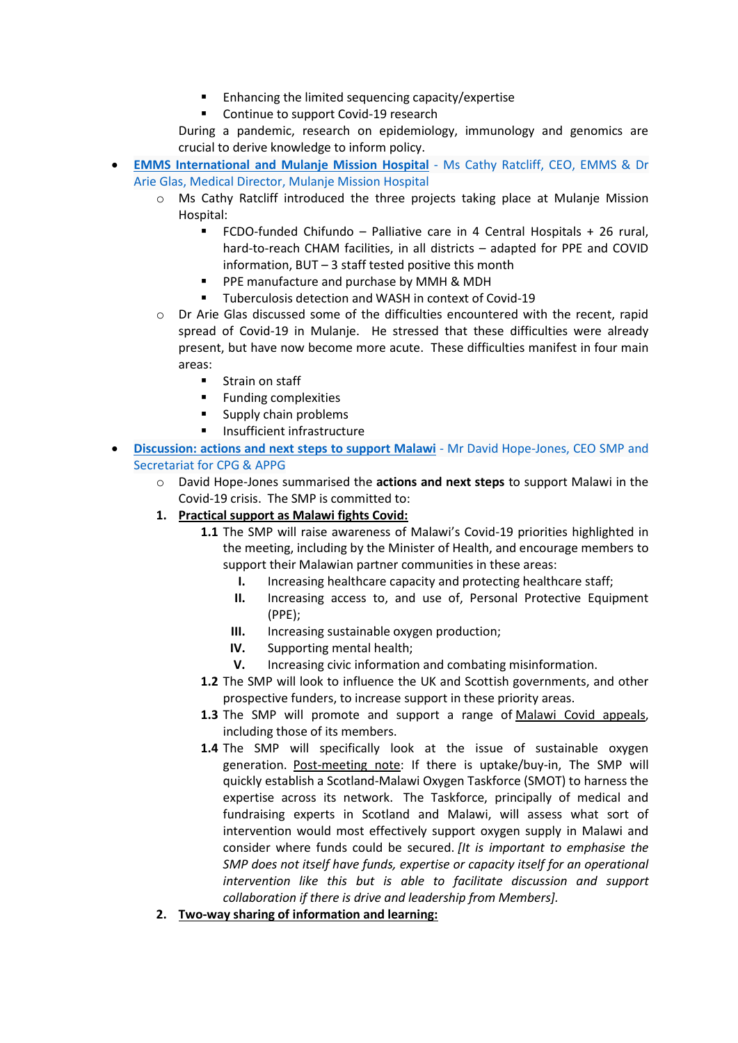- Enhancing the limited sequencing capacity/expertise
- Continue to support Covid-19 research

During a pandemic, research on epidemiology, immunology and genomics are crucial to derive knowledge to inform policy.

- **EMMS [International](https://www.youtube.com/watch?v=Qe-eZlcIp14&t=6097s) and Mulanje Mission Hospital** Ms Cathy Ratcliff, CEO, EMMS & Dr Arie Glas, Medical [Director,](https://www.youtube.com/watch?v=Qe-eZlcIp14&t=6097s) Mulanje Mission Hospital
	- o Ms Cathy Ratcliff introduced the three projects taking place at Mulanje Mission Hospital:
		- FCDO-funded Chifundo Palliative care in 4 Central Hospitals + 26 rural, hard-to-reach CHAM facilities, in all districts – adapted for PPE and COVID information, BUT – 3 staff tested positive this month
		- PPE manufacture and purchase by MMH & MDH
		- Tuberculosis detection and WASH in context of Covid-19
	- o Dr Arie Glas discussed some of the difficulties encountered with the recent, rapid spread of Covid-19 in Mulanje. He stressed that these difficulties were already present, but have now become more acute. These difficulties manifest in four main areas:
		- [Strain on staff](https://youtu.be/Qe-eZlcIp14?t=6345)
		- Funding [complexities](https://youtu.be/Qe-eZlcIp14?t=6407)
		- [Supply chain](https://youtu.be/Qe-eZlcIp14?t=6455) problems
		- [Insufficient infrastructure](https://youtu.be/Qe-eZlcIp14?t=6516)
- **Discussion: actions and next steps to support Malawi** Mr David [Hope-Jones,](https://www.youtube.com/watch?v=Qe-eZlcIp14&t=6680s) CEO SMP and [Secretariat](https://www.youtube.com/watch?v=Qe-eZlcIp14&t=6680s) for CPG & APPG
	- o David Hope-Jones summarised the **actions and next steps** to support Malawi in the Covid-19 crisis. The SMP is committed to:
	- **1. Practical support as Malawi fights Covid:**
		- **1.1** The SMP will raise awareness of Malawi's Covid-19 priorities highlighted in the meeting, including by the Minister of Health, and encourage members to support their Malawian partner communities in these areas:
			- **I.** Increasing healthcare capacity and protecting healthcare staff;
			- **II.** Increasing access to, and use of, Personal Protective Equipment (PPE);
			- **III.** Increasing sustainable oxygen production;
			- **IV.** Supporting mental health;
			- **V.** Increasing civic information and combating misinformation.
		- **1.2** The SMP will look to influence the UK and Scottish governments, and other prospective funders, to increase support in these priority areas.
		- **1.3** The SMP will promote and support a range of [Malawi Covid appeals,](https://www.scotland-malawipartnership.org/covid-19/member-appeals/) including those of its members.
		- **1.4** The SMP will specifically look at the issue of sustainable oxygen generation. Post-meeting note: If there is uptake/buy-in, The SMP will quickly establish a Scotland-Malawi Oxygen Taskforce (SMOT) to harness the expertise across its network. The Taskforce, principally of medical and fundraising experts in Scotland and Malawi, will assess what sort of intervention would most effectively support oxygen supply in Malawi and consider where funds could be secured. *[It is important to emphasise the SMP does not itself have funds, expertise or capacity itself for an operational intervention like this but is able to facilitate discussion and support collaboration if there is drive and leadership from Members].*
	- **2. Two-way sharing of information and learning:**